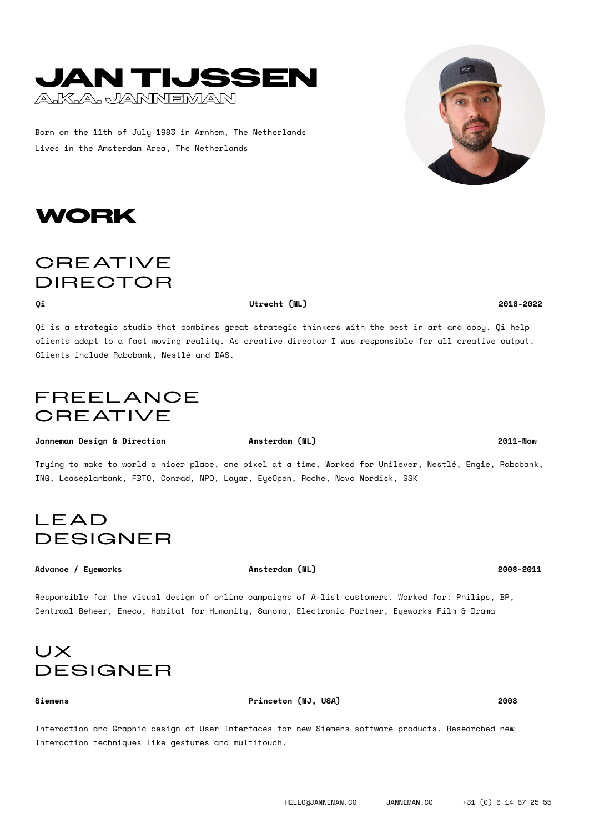# **JAN TIJSSEN A.K.A. JANNEMAN**

Born on the 11th of July 1983 in Arnhem, The Netherlands Lives in the Amsterdam Area, The Netherlands

Qi is a strategic studio that combines great strategic thinkers with the best in art and copy. Qi help clients adapt to a fast moving reality. As creative director I was responsible for all creative output. Clients include Rabobank, Nestlé and DAS.

# FREEL ANCE **CREATIVE**

**Janneman Design & Direction Amsterdam (NL) 2011-Now**

**WORK**

**CREATIVE** DIRECTOR

Trying to make to world a nicer place, one pixel at a time. Worked for Unilever, Nestlé, Engie, Rabobank, ING, Leaseplanbank, FBTO, Conrad, NPO, Layar, EyeOpen, Roche, Novo Nordisk, GSK

# LEAD DESIGNER

### **Advance / Eyeworks Amsterdam (NL) 2008-2011**

Responsible for the visual design of online campaigns of A-list customers. Worked for: Philips, BP, Centraal Beheer, Eneco, Habitat for Humanity, Sanoma, Electronic Partner, Eyeworks Film & Drama

# UX DESIGNER

**Siemens Princeton (NJ, USA) 2008**

Interaction and Graphic design of User Interfaces for new Siemens software products. Researched new Interaction techniques like gestures and multitouch.